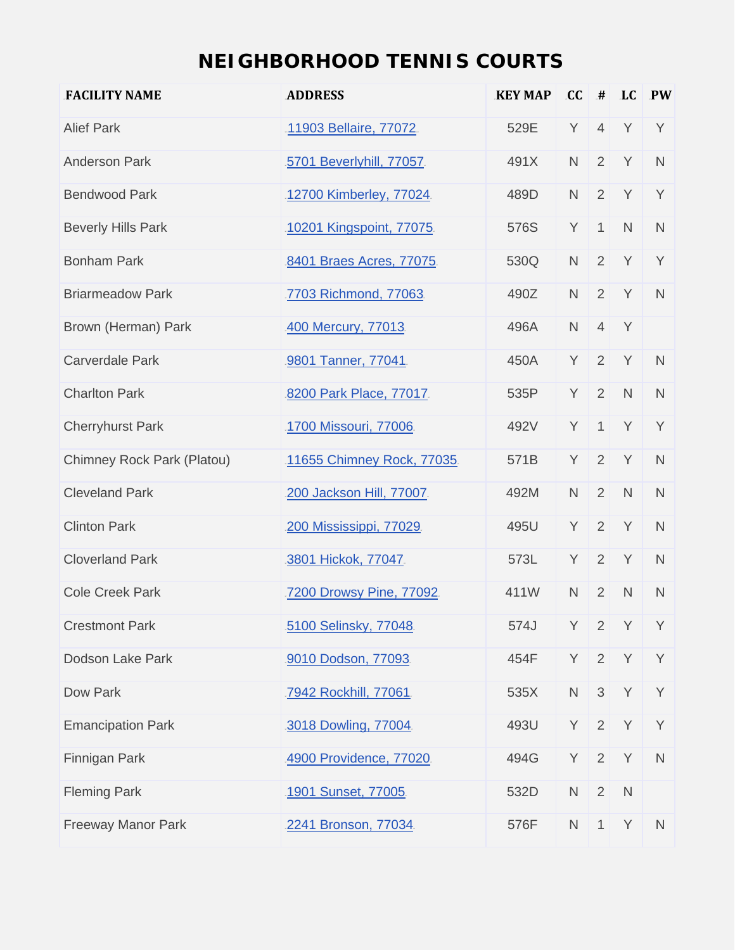## **NEIGHBORHOOD TENNIS COURTS**

| <b>FACILITY NAME</b>       | <b>ADDRESS</b>            | <b>KEY MAP</b> | CC           | #              | <b>LC</b>    | $\sqrt{P}$   |
|----------------------------|---------------------------|----------------|--------------|----------------|--------------|--------------|
| <b>Alief Park</b>          | 11903 Bellaire, 77072     | 529E           | Y            | $\overline{4}$ | Y            | Y            |
| <b>Anderson Park</b>       | 5701 Beverlyhill, 77057.  | 491X           | $\mathsf{N}$ | 2              | Y            | $\mathsf{N}$ |
| <b>Bendwood Park</b>       | 12700 Kimberley, 77024    | 489D           | $\mathsf{N}$ | 2              | Y            | Y            |
| <b>Beverly Hills Park</b>  | 10201 Kingspoint, 77075.  | 576S           | Y            | $\mathbf{1}$   | $\mathsf{N}$ | $\mathsf{N}$ |
| <b>Bonham Park</b>         | 8401 Braes Acres, 77075.  | 530Q           | $\mathsf{N}$ | 2              | Y            | Y            |
| <b>Briarmeadow Park</b>    | 7703 Richmond, 77063      | 490Z           | $\mathsf N$  | 2              | Y            | $\mathsf N$  |
| Brown (Herman) Park        | 400 Mercury, 77013        | 496A           | $\mathsf{N}$ | $\overline{4}$ | Y            |              |
| <b>Carverdale Park</b>     | 9801 Tanner, 77041        | 450A           | Y            | 2              | Y            | $\mathsf{N}$ |
| <b>Charlton Park</b>       | 8200 Park Place, 77017.   | 535P           | Y            | 2              | $\mathsf{N}$ | $\mathsf N$  |
| <b>Cherryhurst Park</b>    | 1700 Missouri, 77006.     | 492V           | Y            | $\mathbf{1}$   | Y            | Y            |
| Chimney Rock Park (Platou) | 11655 Chimney Rock, 77035 | 571B           | Y            | 2              | Y            | $\mathsf N$  |
| <b>Cleveland Park</b>      | 200 Jackson Hill, 77007.  | 492M           | $\mathsf{N}$ | $\overline{2}$ | $\mathsf{N}$ | $\mathsf{N}$ |
| <b>Clinton Park</b>        | 200 Mississippi, 77029.   | 495U           | Y            | $\overline{2}$ | Y            | $\mathsf{N}$ |
| <b>Cloverland Park</b>     | 3801 Hickok, 77047.       | 573L           | Y            | 2              | Y            | $\mathsf N$  |
| <b>Cole Creek Park</b>     | 7200 Drowsy Pine, 77092   | 411W           | $\mathsf{N}$ | 2              | $\mathsf{N}$ | $\mathsf{N}$ |
| <b>Crestmont Park</b>      | 5100 Selinsky, 77048      | 574J           |              |                | $Y$ 2 $Y$    | Y            |
| Dodson Lake Park           | 9010 Dodson, 77093.       | 454F           | Y            | $\overline{2}$ | Y            | Y            |
| Dow Park                   | 7942 Rockhill, 77061.     | 535X           | $\mathsf{N}$ | 3 <sup>1</sup> | Y            | Y            |
| <b>Emancipation Park</b>   | 3018 Dowling, 77004.      | 493U           | Y            | $\overline{2}$ | Y            | Y            |
| Finnigan Park              | 4900 Providence, 77020    | 494G           | Y            | 2              | Y            | $\mathsf{N}$ |
| <b>Fleming Park</b>        | 1901 Sunset, 77005.       | 532D           | ${\sf N}$    | 2              | $\mathsf{N}$ |              |
| <b>Freeway Manor Park</b>  | 2241 Bronson, 77034       | 576F           | $\mathsf{N}$ | $\mathbf{1}$   | Y            | N            |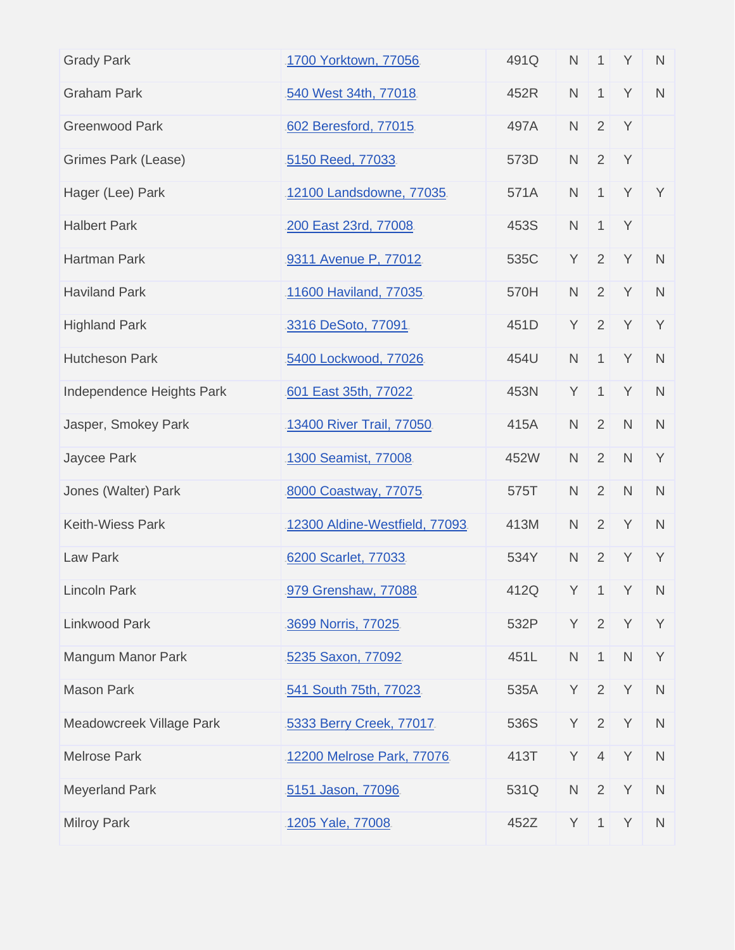| 1700 Yorktown, 77056           | 491Q | $\mathsf{N}$ | $\mathbf{1}$   | Y            | $\mathsf{N}$ |
|--------------------------------|------|--------------|----------------|--------------|--------------|
| 540 West 34th, 77018           | 452R | $\mathsf{N}$ | $\mathbf{1}$   | Y            | $\mathsf N$  |
| 602 Beresford, 77015.          | 497A | $\mathsf{N}$ | 2              | Y            |              |
| 5150 Reed, 77033.              | 573D | $\mathsf{N}$ | 2              | Y            |              |
| 12100 Landsdowne, 77035.       | 571A | $\mathsf{N}$ | $\mathbf{1}$   | Y            | Y            |
| 200 East 23rd, 77008           | 453S | $\mathsf{N}$ | $\mathbf{1}$   | Y            |              |
| 9311 Avenue P, 77012           | 535C | Y            | 2              | Y            | $\mathsf{N}$ |
| 11600 Haviland, 77035          | 570H | $\mathsf{N}$ | 2              | Y            | $\mathsf N$  |
| 3316 DeSoto, 77091.            | 451D | Y            | 2              | Y            | Y            |
| 5400 Lockwood, 77026.          | 454U | $\mathsf{N}$ | $\mathbf{1}$   | Y            | $\mathsf{N}$ |
| 601 East 35th, 77022.          | 453N | Y            | $\mathbf{1}$   | Y            | $\mathsf N$  |
| 13400 River Trail, 77050       | 415A | $\mathsf{N}$ | 2              | $\mathsf{N}$ | $\mathsf{N}$ |
| 1300 Seamist, 77008            | 452W | $\mathsf{N}$ | 2              | $\mathsf{N}$ | Y            |
| 8000 Coastway, 77075           | 575T | $\mathsf{N}$ | 2              | $\mathsf{N}$ | $\mathsf N$  |
| 12300 Aldine-Westfield, 77093. | 413M | $\mathsf{N}$ | 2              | Y            | $\mathsf N$  |
| 6200 Scarlet, 77033            | 534Y | $\mathsf{N}$ | $\overline{2}$ | Y            | Y            |
| 979 Grenshaw, 77088            | 412Q | Y            | $\mathbf{1}$   | Y            | $\mathsf{N}$ |
| 3699 Norris, 77025.            | 532P | Y            | 2              | Y            | Y            |
| 5235 Saxon, 77092              | 451L | ${\sf N}$    | $\mathbf{1}$   | $\mathsf{N}$ | Y            |
| 541 South 75th, 77023          | 535A | Y            | 2              | Y            | $\mathsf N$  |
| 5333 Berry Creek, 77017.       | 536S | Y            | $\overline{2}$ | Y            | $\mathsf{N}$ |
| 12200 Melrose Park, 77076.     | 413T | Y            | $\overline{4}$ | Y            | $\mathsf N$  |
| 5151 Jason, 77096.             | 531Q | $\mathsf{N}$ | 2              | Y            | ${\sf N}$    |
| 1205 Yale, 77008.              | 452Z | Y            | $\mathbf{1}$   | Y            | $\mathsf{N}$ |
|                                |      |              |                |              |              |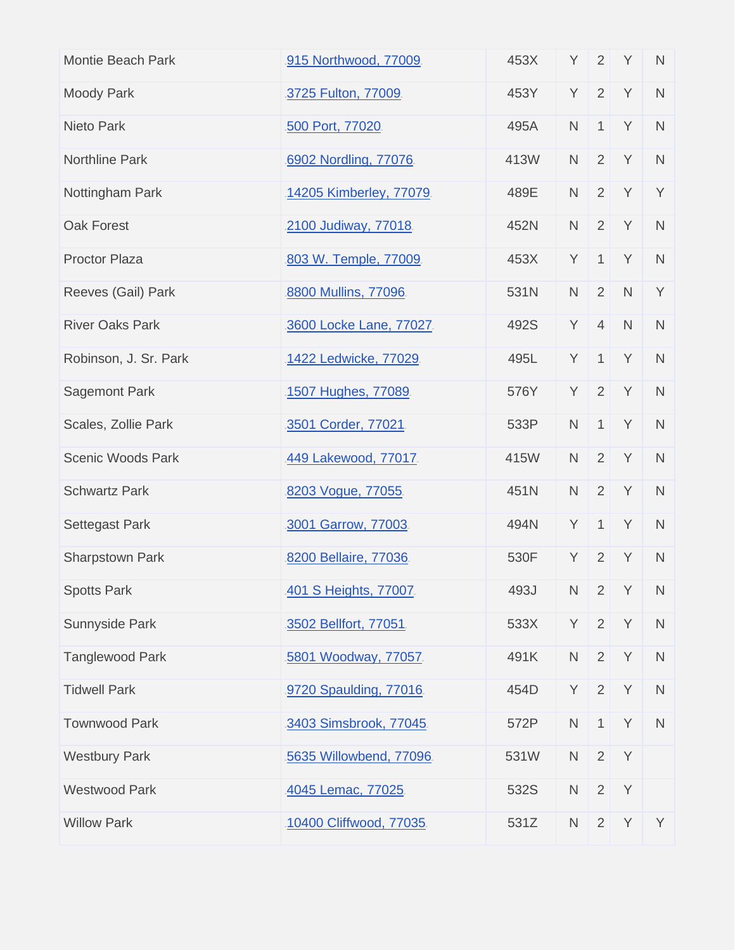| <b>Montie Beach Park</b> | 915 Northwood, 77009.   | 453X | Y            | 2              | Y            | $\mathsf{N}$ |
|--------------------------|-------------------------|------|--------------|----------------|--------------|--------------|
| <b>Moody Park</b>        | 3725 Fulton, 77009      | 453Y | Y            | 2              | Y            | $\mathsf N$  |
| Nieto Park               | 500 Port, 77020         | 495A | $\mathsf N$  | $\mathbf{1}$   | Y            | $\mathsf N$  |
| <b>Northline Park</b>    | 6902 Nordling, 77076    | 413W | $\mathsf{N}$ | 2              | Y            | $\mathsf N$  |
| Nottingham Park          | 14205 Kimberley, 77079  | 489E | $\mathsf N$  | $\overline{2}$ | Y            | Y            |
| Oak Forest               | 2100 Judiway, 77018     | 452N | $\mathsf{N}$ | 2              | Y            | $\mathsf N$  |
| <b>Proctor Plaza</b>     | 803 W. Temple, 77009.   | 453X | Y            | $\mathbf{1}$   | Y            | $\mathsf N$  |
| Reeves (Gail) Park       | 8800 Mullins, 77096     | 531N | $\mathsf N$  | 2              | $\mathsf{N}$ | Y            |
| <b>River Oaks Park</b>   | 3600 Locke Lane, 77027. | 492S | Υ            | $\overline{4}$ | $\mathsf{N}$ | $\mathsf{N}$ |
| Robinson, J. Sr. Park    | 1422 Ledwicke, 77029.   | 495L | Y            | $\mathbf{1}$   | Y            | $\mathsf N$  |
| <b>Sagemont Park</b>     | 1507 Hughes, 77089.     | 576Y | Y            | 2              | Y            | $\mathsf N$  |
| Scales, Zollie Park      | 3501 Corder, 77021      | 533P | $\mathsf{N}$ | $\mathbf{1}$   | Y            | $\mathsf N$  |
| <b>Scenic Woods Park</b> | 449 Lakewood, 77017.    | 415W | $\mathsf{N}$ | 2              | Y            | $\mathsf N$  |
| <b>Schwartz Park</b>     | 8203 Vogue, 77055       | 451N | $\mathsf{N}$ | $\overline{2}$ | Y            | $\mathsf N$  |
| <b>Settegast Park</b>    | 3001 Garrow, 77003      | 494N | Y            | $\mathbf{1}$   | Y            | $\mathsf N$  |
| Sharpstown Park          | 8200 Bellaire, 77036.   | 530F | Y            | 2              | Y            | $\mathsf{N}$ |
| <b>Spotts Park</b>       | 401 S Heights, 77007.   | 493J | $\mathsf{N}$ | $\overline{2}$ | Y            | $\mathsf{N}$ |
| Sunnyside Park           | 3502 Bellfort, 77051.   | 533X | Y            | $\overline{2}$ | Y            | $\mathsf N$  |
| <b>Tanglewood Park</b>   | 5801 Woodway, 77057.    | 491K | $\mathsf N$  | 2              | Y            | $\mathsf N$  |
| <b>Tidwell Park</b>      | 9720 Spaulding, 77016   | 454D | Y            | $\overline{2}$ | Y            | $\mathsf N$  |
| <b>Townwood Park</b>     | 3403 Simsbrook, 77045.  | 572P | ${\sf N}$    | $\mathbf{1}$   | Y            | $\mathsf{N}$ |
| <b>Westbury Park</b>     | 5635 Willowbend, 77096  | 531W | $\mathsf N$  | 2              | Y            |              |
| <b>Westwood Park</b>     | 4045 Lemac, 77025       | 532S | $\mathsf N$  | $\overline{2}$ | Y            |              |
| <b>Willow Park</b>       | 10400 Cliffwood, 77035. | 531Z | $\mathsf N$  | $\overline{2}$ | Y            | Y            |